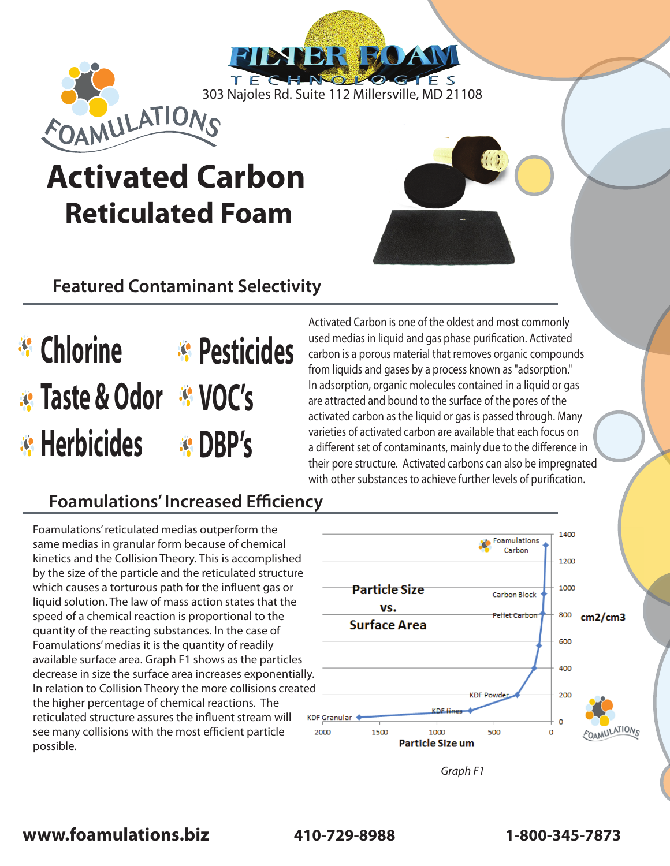TECHNOLO 303 Najoles Rd. Suite 112 Millersville, MD 21108

**TIBSTER BOATY** 

# **Activated Carbon Reticulated Foam**

## **Featured Contaminant Selectivity**

**Chlorine Pesticides Taste & Odor VOC's Herbicides DBP's**

Activated Carbon is one of the oldest and most commonly used medias in liquid and gas phase purification. Activated carbon is a porous material that removes organic compounds from liquids and gases by a process known as "adsorption." In adsorption, organic molecules contained in a liquid or gas are attracted and bound to the surface of the pores of the activated carbon as the liquid or gas is passed through. Many varieties of activated carbon are available that each focus on a different set of contaminants, mainly due to the difference in their pore structure. Activated carbons can also be impregnated with other substances to achieve further levels of purification.

### **Foamulations' Increased Efficiency**

Foamulations' reticulated medias outperform the same medias in granular form because of chemical kinetics and the Collision Theory. This is accomplished by the size of the particle and the reticulated structure which causes a torturous path for the influent gas or liquid solution. The law of mass action states that the speed of a chemical reaction is proportional to the quantity of the reacting substances. In the case of Foamulations' medias it is the quantity of readily available surface area. Graph F1 shows as the particles decrease in size the surface area increases exponentially. In relation to Collision Theory the more collisions created the higher percentage of chemical reactions. The reticulated structure assures the influent stream will see many collisions with the most efficient particle possible.